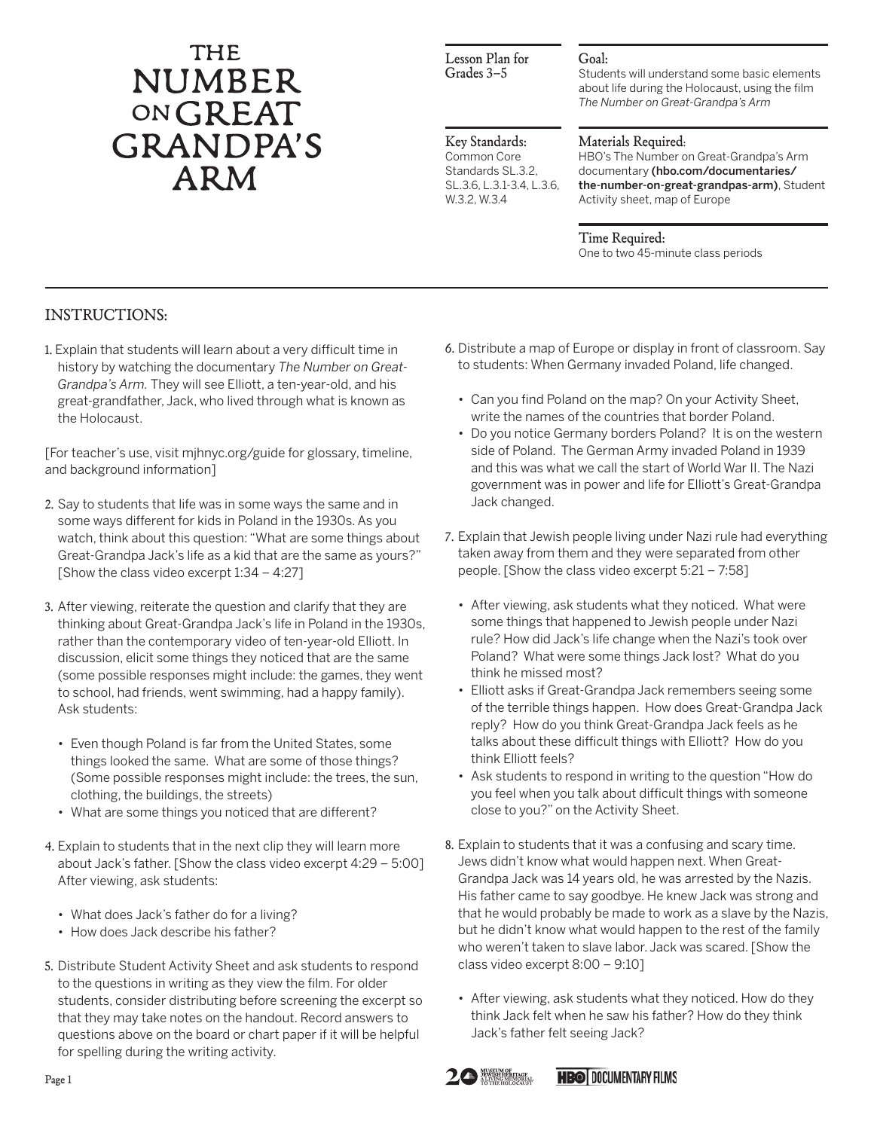# THE **NUMBER** ONGREAT **GRANDPA'S ARM**

### Lesson Plan for Grades 3–5

### Goal:

Students will understand some basic elements about life during the Holocaust, using the film *The Number on Great-Grandpa's Arm*

#### Key Standards: Common Core Standards SL.3.2, SL.3.6, L.3.1-3.4, L.3.6,

W.3.2, W.3.4

## Materials Required:

HBO's The Number on Great-Grandpa's Arm documentary (hbo.com/documentaries/ the-number-on-great-grandpas-arm), Student Activity sheet, map of Europe

Time Required: One to two 45-minute class periods

# INSTRUCTIONS:

1. Explain that students will learn about a very difficult time in history by watching the documentary *The Number on Great-Grandpa's Arm.* They will see Elliott, a ten-year-old, and his great-grandfather, Jack, who lived through what is known as the Holocaust.

[For teacher's use, visit mjhnyc.org/guide for glossary, timeline, and background information]

- 2. Say to students that life was in some ways the same and in some ways different for kids in Poland in the 1930s. As you watch, think about this question: "What are some things about Great-Grandpa Jack's life as a kid that are the same as yours?" [Show the class video excerpt 1:34 – 4:27]
- 3. After viewing, reiterate the question and clarify that they are thinking about Great-Grandpa Jack's life in Poland in the 1930s, rather than the contemporary video of ten-year-old Elliott. In discussion, elicit some things they noticed that are the same (some possible responses might include: the games, they went to school, had friends, went swimming, had a happy family). Ask students:
	- Even though Poland is far from the United States, some things looked the same. What are some of those things? (Some possible responses might include: the trees, the sun, clothing, the buildings, the streets)
	- What are some things you noticed that are different?
- 4. Explain to students that in the next clip they will learn more about Jack's father. [Show the class video excerpt 4:29 – 5:00] After viewing, ask students:
	- What does Jack's father do for a living?
	- How does Jack describe his father?
- 5. Distribute Student Activity Sheet and ask students to respond to the questions in writing as they view the film. For older students, consider distributing before screening the excerpt so that they may take notes on the handout. Record answers to questions above on the board or chart paper if it will be helpful for spelling during the writing activity.
- 6. Distribute a map of Europe or display in front of classroom. Say to students: When Germany invaded Poland, life changed.
	- Can you find Poland on the map? On your Activity Sheet, write the names of the countries that border Poland.
	- Do you notice Germany borders Poland? It is on the western side of Poland. The German Army invaded Poland in 1939 and this was what we call the start of World War II. The Nazi government was in power and life for Elliott's Great-Grandpa Jack changed.
- 7. Explain that Jewish people living under Nazi rule had everything taken away from them and they were separated from other people. [Show the class video excerpt 5:21 – 7:58]
	- After viewing, ask students what they noticed. What were some things that happened to Jewish people under Nazi rule? How did Jack's life change when the Nazi's took over Poland? What were some things Jack lost? What do you think he missed most?
	- Elliott asks if Great-Grandpa Jack remembers seeing some of the terrible things happen. How does Great-Grandpa Jack reply? How do you think Great-Grandpa Jack feels as he talks about these difficult things with Elliott? How do you think Elliott feels?
	- Ask students to respond in writing to the question "How do you feel when you talk about difficult things with someone close to you?" on the Activity Sheet.
- 8. Explain to students that it was a confusing and scary time. Jews didn't know what would happen next. When Great-Grandpa Jack was 14 years old, he was arrested by the Nazis. His father came to say goodbye. He knew Jack was strong and that he would probably be made to work as a slave by the Nazis, but he didn't know what would happen to the rest of the family who weren't taken to slave labor. Jack was scared. [Show the class video excerpt 8:00 – 9:10]
	- After viewing, ask students what they noticed. How do they think Jack felt when he saw his father? How do they think Jack's father felt seeing Jack?



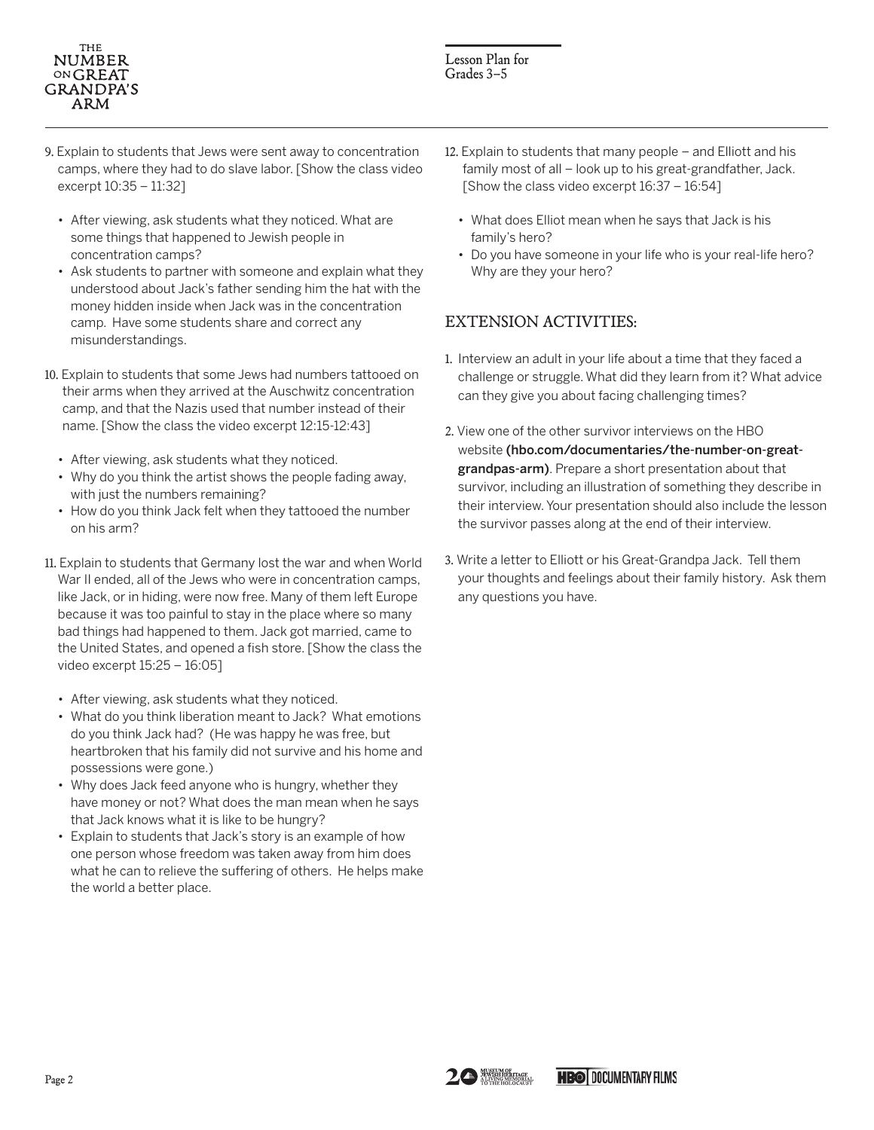#### **THE NUMBER** ONGREAT **GRANDPA'S** ARM

- 9. Explain to students that Jews were sent away to concentration camps, where they had to do slave labor. [Show the class video excerpt 10:35 – 11:32]
	- After viewing, ask students what they noticed. What are some things that happened to Jewish people in concentration camps?
	- Ask students to partner with someone and explain what they understood about Jack's father sending him the hat with the money hidden inside when Jack was in the concentration camp. Have some students share and correct any misunderstandings.
- 10. Explain to students that some Jews had numbers tattooed on their arms when they arrived at the Auschwitz concentration camp, and that the Nazis used that number instead of their name. [Show the class the video excerpt 12:15-12:43]
	- After viewing, ask students what they noticed.
	- Why do you think the artist shows the people fading away, with just the numbers remaining?
	- How do you think Jack felt when they tattooed the number on his arm?
- 11. Explain to students that Germany lost the war and when World War II ended, all of the Jews who were in concentration camps, like Jack, or in hiding, were now free. Many of them left Europe because it was too painful to stay in the place where so many bad things had happened to them. Jack got married, came to the United States, and opened a fish store. [Show the class the video excerpt 15:25 – 16:05]
	- After viewing, ask students what they noticed.
	- What do you think liberation meant to Jack? What emotions do you think Jack had? (He was happy he was free, but heartbroken that his family did not survive and his home and possessions were gone.)
	- Why does Jack feed anyone who is hungry, whether they have money or not? What does the man mean when he says that Jack knows what it is like to be hungry?
	- Explain to students that Jack's story is an example of how one person whose freedom was taken away from him does what he can to relieve the suffering of others. He helps make the world a better place.
- 12. Explain to students that many people and Elliott and his family most of all – look up to his great-grandfather, Jack. [Show the class video excerpt 16:37 – 16:54]
	- What does Elliot mean when he says that Jack is his family's hero?
	- Do you have someone in your life who is your real-life hero? Why are they your hero?

# EXTENSION ACTIVITIES:

- 1. Interview an adult in your life about a time that they faced a challenge or struggle. What did they learn from it? What advice can they give you about facing challenging times?
- 2. View one of the other survivor interviews on the HBO website (hbo.com/documentaries/the-number-on-greatgrandpas-arm). Prepare a short presentation about that survivor, including an illustration of something they describe in their interview. Your presentation should also include the lesson the survivor passes along at the end of their interview.
- 3. Write a letter to Elliott or his Great-Grandpa Jack. Tell them your thoughts and feelings about their family history. Ask them any questions you have.

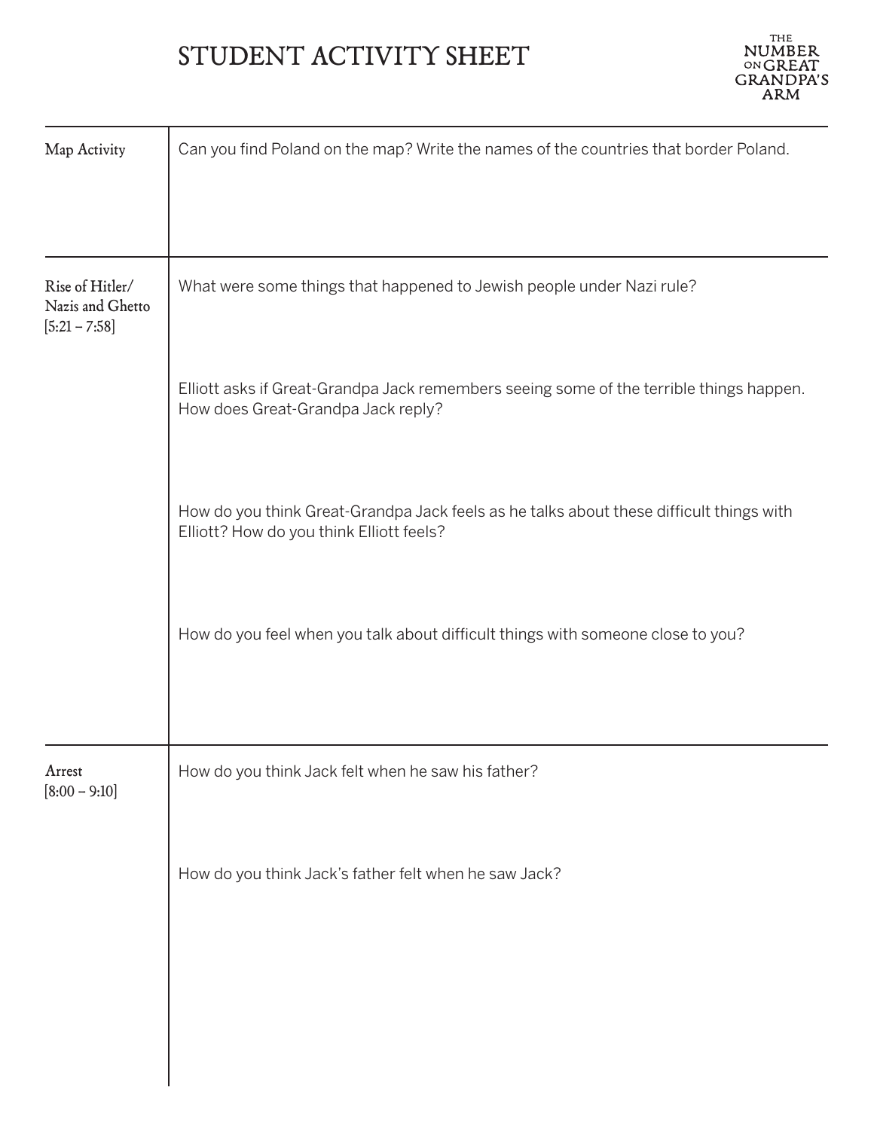# STUDENT ACTIVITY SHEET



| Map Activity                                           | Can you find Poland on the map? Write the names of the countries that border Poland.                                                |  |
|--------------------------------------------------------|-------------------------------------------------------------------------------------------------------------------------------------|--|
|                                                        |                                                                                                                                     |  |
| Rise of Hitler/<br>Nazis and Ghetto<br>$[5:21 - 7:58]$ | What were some things that happened to Jewish people under Nazi rule?                                                               |  |
|                                                        | Elliott asks if Great-Grandpa Jack remembers seeing some of the terrible things happen.<br>How does Great-Grandpa Jack reply?       |  |
|                                                        | How do you think Great-Grandpa Jack feels as he talks about these difficult things with<br>Elliott? How do you think Elliott feels? |  |
|                                                        | How do you feel when you talk about difficult things with someone close to you?                                                     |  |
|                                                        |                                                                                                                                     |  |
| Arrest<br>$[8:00 - 9:10]$                              | How do you think Jack felt when he saw his father?                                                                                  |  |
|                                                        | How do you think Jack's father felt when he saw Jack?                                                                               |  |
|                                                        |                                                                                                                                     |  |
|                                                        |                                                                                                                                     |  |